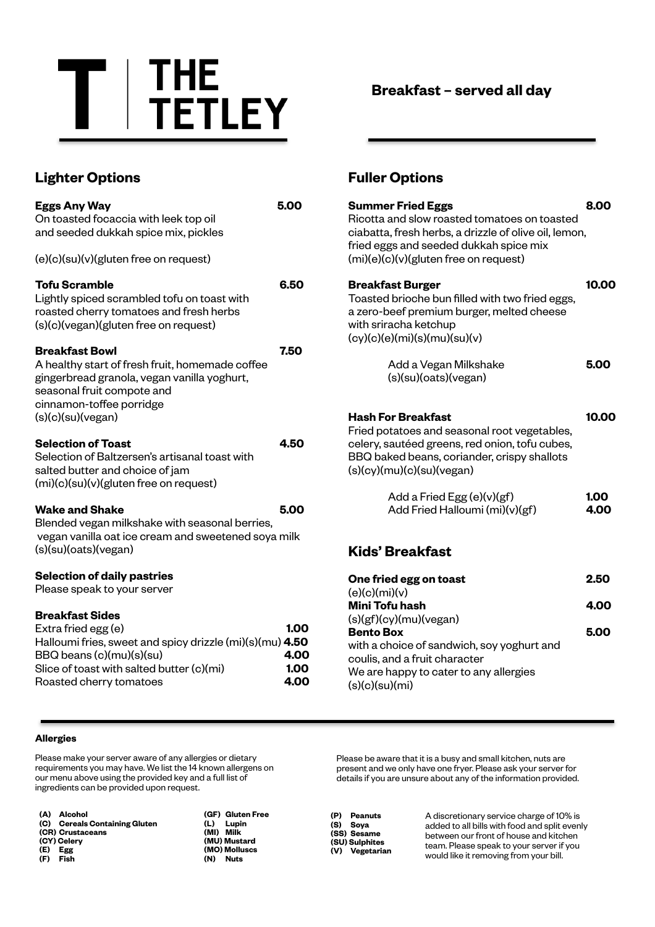

**Breakfast – served all day**

## **Lighter Options**

| <b>Eggs Any Way</b><br>On toasted focaccia with leek top oil<br>and seeded dukkah spice mix, pickles                                                                                                          | 5.00                         |
|---------------------------------------------------------------------------------------------------------------------------------------------------------------------------------------------------------------|------------------------------|
| (e)(c)(su)(v)(gluten free on request)                                                                                                                                                                         |                              |
| <b>Tofu Scramble</b><br>Lightly spiced scrambled tofu on toast with<br>roasted cherry tomatoes and fresh herbs<br>(s)(c)(vegan)(gluten free on request)                                                       | 6.50                         |
| <b>Breakfast Bowl</b><br>A healthy start of fresh fruit, homemade coffee<br>gingerbread granola, vegan vanilla yoghurt,<br>seasonal fruit compote and<br>cinnamon-toffee porridge<br>(s)(c)(su)(vegan)        | 7.50                         |
| <b>Selection of Toast</b><br>Selection of Baltzersen's artisanal toast with<br>salted butter and choice of jam<br>(mi)(c)(su)(v)(gluten free on request)                                                      | 4.50                         |
| <b>Wake and Shake</b><br>Blended vegan milkshake with seasonal berries,<br>vegan vanilla oat ice cream and sweetened soya milk<br>(s)(su)(oats)(vegan)                                                        | 5.00                         |
| <b>Selection of daily pastries</b><br>Please speak to your server                                                                                                                                             |                              |
| <b>Breakfast Sides</b><br>Extra fried egg (e)<br>Halloumi fries, sweet and spicy drizzle (mi)(s)(mu) 4.50<br>BBQ beans (c)(mu)(s)(su)<br>Slice of toast with salted butter (c)(mi)<br>Roasted cherry tomatoes | 1.00<br>4.00<br>1.00<br>4.00 |

## **Fuller Options**

| <b>Summer Fried Eggs</b><br>Ricotta and slow roasted tomatoes on toasted<br>ciabatta, fresh herbs, a drizzle of olive oil, lemon,<br>fried eggs and seeded dukkah spice mix<br>(mi)(e)(c)(v)(gluten free on request) | 8.00         |
|----------------------------------------------------------------------------------------------------------------------------------------------------------------------------------------------------------------------|--------------|
| <b>Breakfast Burger</b><br>Toasted brioche bun filled with two fried eggs,<br>a zero-beef premium burger, melted cheese<br>with sriracha ketchup<br>(cy)(c)(e)(mi)(s)(mu)(su)(v)                                     | 10.00        |
| Add a Vegan Milkshake<br>(s)(su)(oats)(vegan)                                                                                                                                                                        | 5.00         |
| <b>Hash For Breakfast</b><br>Fried potatoes and seasonal root vegetables,<br>celery, sautéed greens, red onion, tofu cubes,<br>BBQ baked beans, coriander, crispy shallots<br>(s)(cy)(mu)(c)(su)(vegan)              | 10.00        |
| Add a Fried Egg (e)(v)(gf)<br>Add Fried Halloumi (mi)(v)(gf)                                                                                                                                                         | 1.00<br>4.00 |
| <b>Kids' Breakfast</b>                                                                                                                                                                                               |              |
| One fried egg on toast<br>(e)(c)(mi)(v)                                                                                                                                                                              | 2.50         |
| <b>Mini Tofu hash</b><br>(s)(gf)(cy)(mu)(vegan)                                                                                                                                                                      | 4.00         |
| <b>Bento Box</b><br>with a choice of sandwich, soy yoghurt and                                                                                                                                                       | 5.00         |

coulis, and a fruit character We are happy to cater to any allergies (s)(c)(su)(mi)

### **Allergies**

Please make your server aware of any allergies or dietary requirements you may have. We list the 14 known allergens on our menu above using the provided key and a full list of ingredients can be provided upon request.

**(A) Alcohol (C) Cereals Containing Gluten (CR) Crustaceans (CY) Celery (E) Egg (F) Fish**

**(GF) Gluten Free (L) Lupin (MI) Milk (MU) Mustard (MO) Molluscs (N) Nuts**

Please be aware that it is a busy and small kitchen, nuts are present and we only have one fryer. Please ask your server for details if you are unsure about any of the information provided.

| (P) | Peanuts        |
|-----|----------------|
| (S) | Sova           |
|     | (SS) Sesame    |
|     | (SU) Sulphites |
|     | (V) Vegetarian |

A discretionary service charge of 10% is added to all bills with food and split evenly between our front of house and kitchen team. Please speak to your server if you would like it removing from your bill.